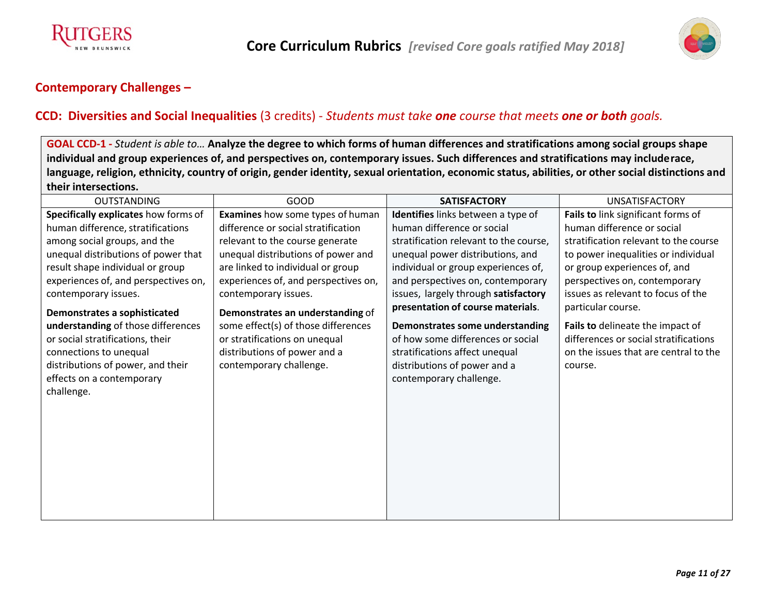



#### **CCD: Diversities and Social Inequalities** (3 credits) - *Students must take one course that meets one or both goals.*

GOAL CCD-1 - Student is able to... Analyze the degree to which forms of human differences and stratifications among social groups shape **individual and group experiences of, and perspectives on, contemporary issues. Such differences and stratifications may includerace,** language, religion, ethnicity, country of origin, gender identity, sexual orientation, economic status, abilities, or other social distinctions and **their intersections.**

| <b>OUTSTANDING</b>                   | GOOD                                 | <b>SATISFACTORY</b>                    | <b>UNSATISFACTORY</b>                 |
|--------------------------------------|--------------------------------------|----------------------------------------|---------------------------------------|
| Specifically explicates how forms of | Examines how some types of human     | Identifies links between a type of     | Fails to link significant forms of    |
| human difference, stratifications    | difference or social stratification  | human difference or social             | human difference or social            |
| among social groups, and the         | relevant to the course generate      | stratification relevant to the course, | stratification relevant to the course |
| unequal distributions of power that  | unequal distributions of power and   | unequal power distributions, and       | to power inequalities or individual   |
| result shape individual or group     | are linked to individual or group    | individual or group experiences of,    | or group experiences of, and          |
| experiences of, and perspectives on, | experiences of, and perspectives on, | and perspectives on, contemporary      | perspectives on, contemporary         |
| contemporary issues.                 | contemporary issues.                 | issues, largely through satisfactory   | issues as relevant to focus of the    |
| Demonstrates a sophisticated         | Demonstrates an understanding of     | presentation of course materials.      | particular course.                    |
| understanding of those differences   | some effect(s) of those differences  | Demonstrates some understanding        | Fails to delineate the impact of      |
| or social stratifications, their     | or stratifications on unequal        | of how some differences or social      | differences or social stratifications |
| connections to unequal               | distributions of power and a         | stratifications affect unequal         | on the issues that are central to the |
| distributions of power, and their    | contemporary challenge.              | distributions of power and a           | course.                               |
| effects on a contemporary            |                                      | contemporary challenge.                |                                       |
| challenge.                           |                                      |                                        |                                       |
|                                      |                                      |                                        |                                       |
|                                      |                                      |                                        |                                       |
|                                      |                                      |                                        |                                       |
|                                      |                                      |                                        |                                       |
|                                      |                                      |                                        |                                       |
|                                      |                                      |                                        |                                       |
|                                      |                                      |                                        |                                       |
|                                      |                                      |                                        |                                       |
|                                      |                                      |                                        |                                       |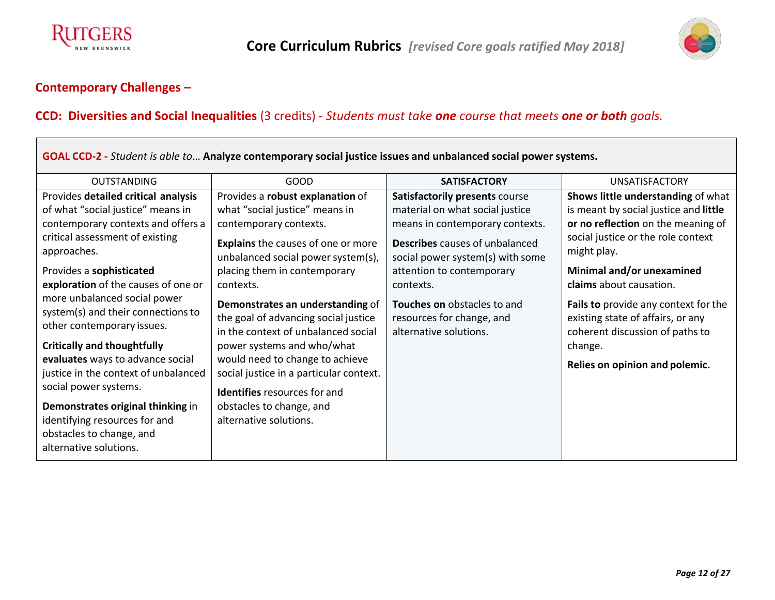



#### **CCD: Diversities and Social Inequalities** (3 credits) - *Students must take one course that meets one or both goals.*

| GOAL CCD-2 - Student is able to Analyze contemporary social justice issues and unbalanced social power systems.                                                                                                                                                                                                                                                                                                |                                                                                                                                                                                                                                                                                                                                       |                                                                                                                                                                                                                |                                                                                                                                                                                                     |  |  |
|----------------------------------------------------------------------------------------------------------------------------------------------------------------------------------------------------------------------------------------------------------------------------------------------------------------------------------------------------------------------------------------------------------------|---------------------------------------------------------------------------------------------------------------------------------------------------------------------------------------------------------------------------------------------------------------------------------------------------------------------------------------|----------------------------------------------------------------------------------------------------------------------------------------------------------------------------------------------------------------|-----------------------------------------------------------------------------------------------------------------------------------------------------------------------------------------------------|--|--|
| <b>OUTSTANDING</b>                                                                                                                                                                                                                                                                                                                                                                                             | GOOD                                                                                                                                                                                                                                                                                                                                  | <b>SATISFACTORY</b>                                                                                                                                                                                            | <b>UNSATISFACTORY</b>                                                                                                                                                                               |  |  |
| Provides detailed critical analysis<br>of what "social justice" means in<br>contemporary contexts and offers a<br>critical assessment of existing<br>approaches.<br>Provides a sophisticated                                                                                                                                                                                                                   | Provides a robust explanation of<br>what "social justice" means in<br>contemporary contexts.<br>Explains the causes of one or more<br>unbalanced social power system(s),<br>placing them in contemporary                                                                                                                              | Satisfactorily presents course<br>material on what social justice<br>means in contemporary contexts.<br><b>Describes</b> causes of unbalanced<br>social power system(s) with some<br>attention to contemporary | Shows little understanding of what<br>is meant by social justice and little<br>or no reflection on the meaning of<br>social justice or the role context<br>might play.<br>Minimal and/or unexamined |  |  |
| exploration of the causes of one or<br>more unbalanced social power<br>system(s) and their connections to<br>other contemporary issues.<br><b>Critically and thoughtfully</b><br>evaluates ways to advance social<br>justice in the context of unbalanced<br>social power systems.<br>Demonstrates original thinking in<br>identifying resources for and<br>obstacles to change, and<br>alternative solutions. | contexts.<br>Demonstrates an understanding of<br>the goal of advancing social justice<br>in the context of unbalanced social<br>power systems and who/what<br>would need to change to achieve<br>social justice in a particular context.<br><b>Identifies</b> resources for and<br>obstacles to change, and<br>alternative solutions. | contexts.<br>Touches on obstacles to and<br>resources for change, and<br>alternative solutions.                                                                                                                | claims about causation.<br>Fails to provide any context for the<br>existing state of affairs, or any<br>coherent discussion of paths to<br>change.<br>Relies on opinion and polemic.                |  |  |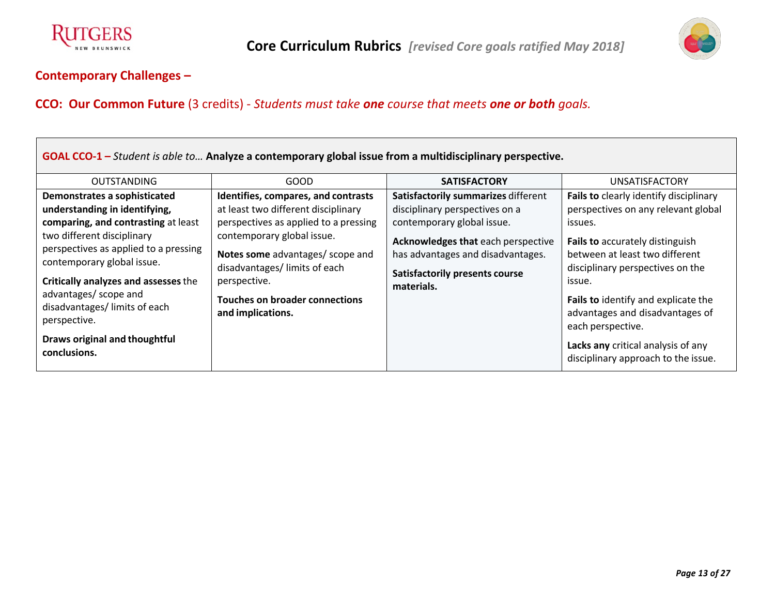



# **CCO: Our Common Future** (3 credits) - *Students must take one course that meets one or both goals.*

| GOAL CCO-1 – Student is able to Analyze a contemporary global issue from a multidisciplinary perspective.                                                                                                                                                                                                                                                                    |                                                                                                                                                                                                                                                                                                      |                                                                                                                                                                                                                                       |                                                                                                                                                                                                                                                                                                                                                                                         |  |  |
|------------------------------------------------------------------------------------------------------------------------------------------------------------------------------------------------------------------------------------------------------------------------------------------------------------------------------------------------------------------------------|------------------------------------------------------------------------------------------------------------------------------------------------------------------------------------------------------------------------------------------------------------------------------------------------------|---------------------------------------------------------------------------------------------------------------------------------------------------------------------------------------------------------------------------------------|-----------------------------------------------------------------------------------------------------------------------------------------------------------------------------------------------------------------------------------------------------------------------------------------------------------------------------------------------------------------------------------------|--|--|
| <b>OUTSTANDING</b>                                                                                                                                                                                                                                                                                                                                                           | GOOD                                                                                                                                                                                                                                                                                                 | <b>SATISFACTORY</b>                                                                                                                                                                                                                   | <b>UNSATISFACTORY</b>                                                                                                                                                                                                                                                                                                                                                                   |  |  |
| Demonstrates a sophisticated<br>understanding in identifying,<br>comparing, and contrasting at least<br>two different disciplinary<br>perspectives as applied to a pressing<br>contemporary global issue.<br>Critically analyzes and assesses the<br>advantages/ scope and<br>disadvantages/ limits of each<br>perspective.<br>Draws original and thoughtful<br>conclusions. | Identifies, compares, and contrasts<br>at least two different disciplinary<br>perspectives as applied to a pressing<br>contemporary global issue.<br>Notes some advantages/ scope and<br>disadvantages/ limits of each<br>perspective.<br><b>Touches on broader connections</b><br>and implications. | Satisfactorily summarizes different<br>disciplinary perspectives on a<br>contemporary global issue.<br>Acknowledges that each perspective<br>has advantages and disadvantages.<br><b>Satisfactorily presents course</b><br>materials. | Fails to clearly identify disciplinary<br>perspectives on any relevant global<br>issues.<br>Fails to accurately distinguish<br>between at least two different<br>disciplinary perspectives on the<br>issue.<br>Fails to identify and explicate the<br>advantages and disadvantages of<br>each perspective.<br>Lacks any critical analysis of any<br>disciplinary approach to the issue. |  |  |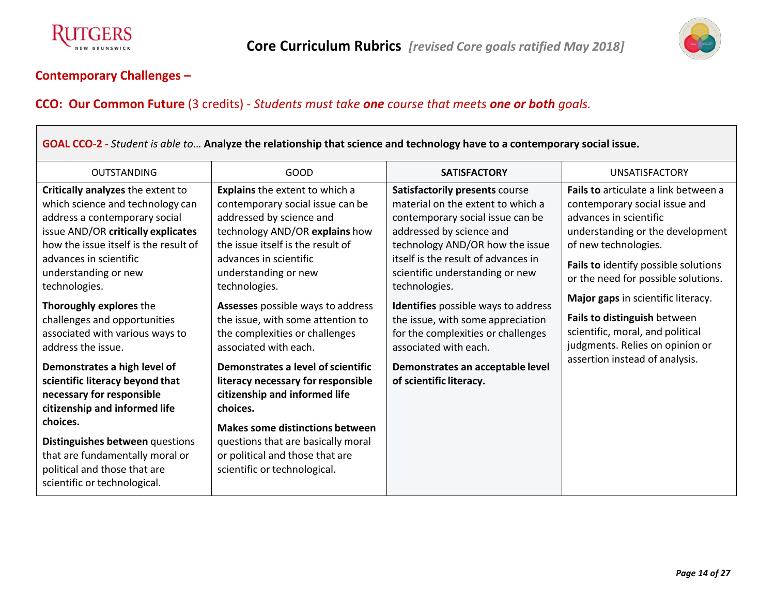



# **CCO: Our Common Future** (3 credits) - *Students must take one course that meets one or both goals.*

| GOAL CCO-2 - Student is able to Analyze the relationship that science and technology have to a contemporary social issue.                                                                                                                                                                                                                                                    |                                                                                                                                                                                                                                                                                                                                                                               |                                                                                                                                                                                                                                                                                                                                                                                                              |                                                                                                                                                                                                                                                                                                                                                                                         |  |  |
|------------------------------------------------------------------------------------------------------------------------------------------------------------------------------------------------------------------------------------------------------------------------------------------------------------------------------------------------------------------------------|-------------------------------------------------------------------------------------------------------------------------------------------------------------------------------------------------------------------------------------------------------------------------------------------------------------------------------------------------------------------------------|--------------------------------------------------------------------------------------------------------------------------------------------------------------------------------------------------------------------------------------------------------------------------------------------------------------------------------------------------------------------------------------------------------------|-----------------------------------------------------------------------------------------------------------------------------------------------------------------------------------------------------------------------------------------------------------------------------------------------------------------------------------------------------------------------------------------|--|--|
| <b>OUTSTANDING</b>                                                                                                                                                                                                                                                                                                                                                           | <b>GOOD</b>                                                                                                                                                                                                                                                                                                                                                                   | <b>SATISFACTORY</b>                                                                                                                                                                                                                                                                                                                                                                                          | <b>UNSATISFACTORY</b>                                                                                                                                                                                                                                                                                                                                                                   |  |  |
| Critically analyzes the extent to<br>which science and technology can<br>address a contemporary social<br>issue AND/OR critically explicates<br>how the issue itself is the result of<br>advances in scientific<br>understanding or new<br>technologies.<br>Thoroughly explores the<br>challenges and opportunities<br>associated with various ways to<br>address the issue. | Explains the extent to which a<br>contemporary social issue can be<br>addressed by science and<br>technology AND/OR explains how<br>the issue itself is the result of<br>advances in scientific<br>understanding or new<br>technologies.<br>Assesses possible ways to address<br>the issue, with some attention to<br>the complexities or challenges<br>associated with each. | Satisfactorily presents course<br>material on the extent to which a<br>contemporary social issue can be<br>addressed by science and<br>technology AND/OR how the issue<br>itself is the result of advances in<br>scientific understanding or new<br>technologies.<br>Identifies possible ways to address<br>the issue, with some appreciation<br>for the complexities or challenges<br>associated with each. | Fails to articulate a link between a<br>contemporary social issue and<br>advances in scientific<br>understanding or the development<br>of new technologies.<br>Fails to identify possible solutions<br>or the need for possible solutions.<br>Major gaps in scientific literacy.<br>Fails to distinguish between<br>scientific, moral, and political<br>judgments. Relies on opinion or |  |  |
| Demonstrates a high level of<br>scientific literacy beyond that<br>necessary for responsible<br>citizenship and informed life<br>choices.<br>Distinguishes between questions<br>that are fundamentally moral or<br>political and those that are<br>scientific or technological.                                                                                              | Demonstrates a level of scientific<br>literacy necessary for responsible<br>citizenship and informed life<br>choices.<br><b>Makes some distinctions between</b><br>questions that are basically moral<br>or political and those that are<br>scientific or technological.                                                                                                      | Demonstrates an acceptable level<br>of scientific literacy.                                                                                                                                                                                                                                                                                                                                                  | assertion instead of analysis.                                                                                                                                                                                                                                                                                                                                                          |  |  |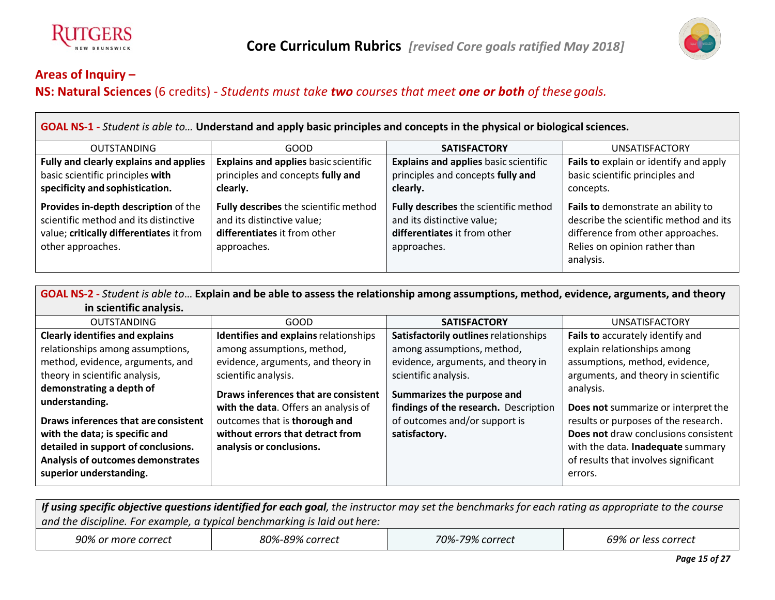



**NS: Natural Sciences** (6 credits) - *Students must take two courses that meet one or both of thesegoals.*

**GOAL NS-1 -** *Student is able to…* **Understand and apply basic principles and concepts in the physical or biologicalsciences.**

| <b>OUTSTANDING</b>                                                                                                                             | GOOD                                                                                                               | <b>SATISFACTORY</b>                                                                                                | <b>UNSATISFACTORY</b>                                                                                                                                           |
|------------------------------------------------------------------------------------------------------------------------------------------------|--------------------------------------------------------------------------------------------------------------------|--------------------------------------------------------------------------------------------------------------------|-----------------------------------------------------------------------------------------------------------------------------------------------------------------|
| Fully and clearly explains and applies                                                                                                         | <b>Explains and applies basic scientific</b>                                                                       | <b>Explains and applies basic scientific</b>                                                                       | Fails to explain or identify and apply                                                                                                                          |
| basic scientific principles with                                                                                                               | principles and concepts fully and                                                                                  | principles and concepts fully and                                                                                  | basic scientific principles and                                                                                                                                 |
| specificity and sophistication.                                                                                                                | clearly.                                                                                                           | clearly.                                                                                                           | concepts.                                                                                                                                                       |
| Provides in-depth description of the<br>scientific method and its distinctive<br>value; critically differentiates it from<br>other approaches. | Fully describes the scientific method<br>and its distinctive value;<br>differentiates it from other<br>approaches. | Fully describes the scientific method<br>and its distinctive value;<br>differentiates it from other<br>approaches. | Fails to demonstrate an ability to<br>describe the scientific method and its<br>difference from other approaches.<br>Relies on opinion rather than<br>analysis. |

GOAL NS-2 - Student is able to... Explain and be able to assess the relationship among assumptions, method, evidence, arguments, and theory **in scientific analysis.**

| <b>OUTSTANDING</b>                     | GOOD                                  | <b>SATISFACTORY</b>                   | <b>UNSATISFACTORY</b>                |
|----------------------------------------|---------------------------------------|---------------------------------------|--------------------------------------|
| <b>Clearly identifies and explains</b> | Identifies and explains relationships | Satisfactorily outlines relationships | Fails to accurately identify and     |
| relationships among assumptions,       | among assumptions, method,            | among assumptions, method,            | explain relationships among          |
| method, evidence, arguments, and       | evidence, arguments, and theory in    | evidence, arguments, and theory in    | assumptions, method, evidence,       |
| theory in scientific analysis,         | scientific analysis.                  | scientific analysis.                  | arguments, and theory in scientific  |
| demonstrating a depth of               | Draws inferences that are consistent  | Summarizes the purpose and            | analysis.                            |
| understanding.                         | with the data. Offers an analysis of  | findings of the research. Description | Does not summarize or interpret the  |
| Draws inferences that are consistent   | outcomes that is thorough and         | of outcomes and/or support is         | results or purposes of the research. |
| with the data; is specific and         | without errors that detract from      | satisfactory.                         | Does not draw conclusions consistent |
| detailed in support of conclusions.    | analysis or conclusions.              |                                       | with the data. Inadequate summary    |
| Analysis of outcomes demonstrates      |                                       |                                       | of results that involves significant |
| superior understanding.                |                                       |                                       | errors.                              |

If using specific objective questions identified for each goal, the instructor may set the benchmarks for each rating as appropriate to the course *and the discipline. For example, a typical benchmarking is laid out here: 90% or more correct 80%-89% correct 70%-79% correct 69% or less correct*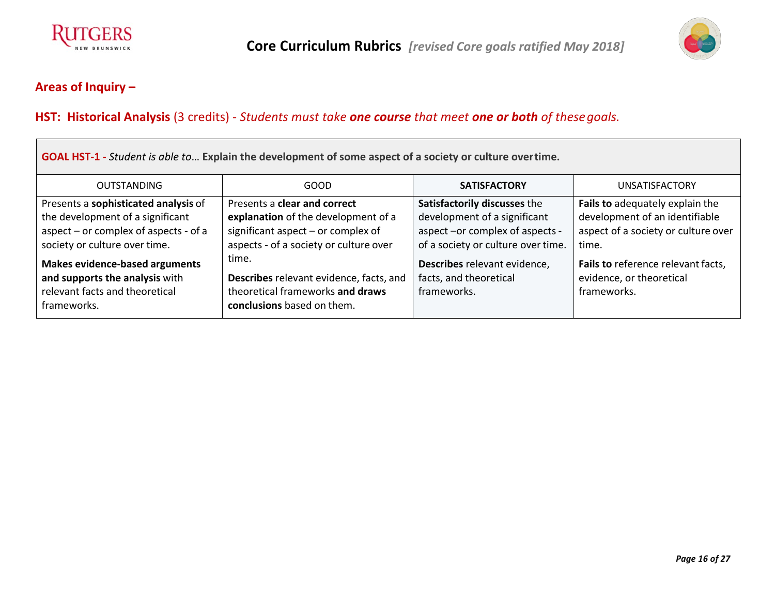



 $\overline{ }$ 

# **HST: Historical Analysis** (3 credits) - *Students must take one course that meet one or both of thesegoals.*

| <b>GOAL HST-1</b> - Student is able to Explain the development of some aspect of a society or culture overtime.          |                                                                                                                    |                                                                       |                                                                               |  |
|--------------------------------------------------------------------------------------------------------------------------|--------------------------------------------------------------------------------------------------------------------|-----------------------------------------------------------------------|-------------------------------------------------------------------------------|--|
| <b>OUTSTANDING</b>                                                                                                       | GOOD                                                                                                               | <b>SATISFACTORY</b>                                                   | <b>UNSATISFACTORY</b>                                                         |  |
| Presents a sophisticated analysis of                                                                                     | Presents a clear and correct                                                                                       | Satisfactorily discusses the                                          | Fails to adequately explain the                                               |  |
| the development of a significant                                                                                         | explanation of the development of a                                                                                | development of a significant                                          | development of an identifiable                                                |  |
| aspect – or complex of aspects - of a                                                                                    | significant aspect - or complex of                                                                                 | aspect -or complex of aspects -                                       | aspect of a society or culture over                                           |  |
| society or culture over time.                                                                                            | aspects - of a society or culture over                                                                             | of a society or culture over time.                                    | time.                                                                         |  |
| <b>Makes evidence-based arguments</b><br>and supports the analysis with<br>relevant facts and theoretical<br>frameworks. | time.<br>Describes relevant evidence, facts, and<br>theoretical frameworks and draws<br>conclusions based on them. | Describes relevant evidence,<br>facts, and theoretical<br>frameworks. | Fails to reference relevant facts,<br>evidence, or theoretical<br>frameworks. |  |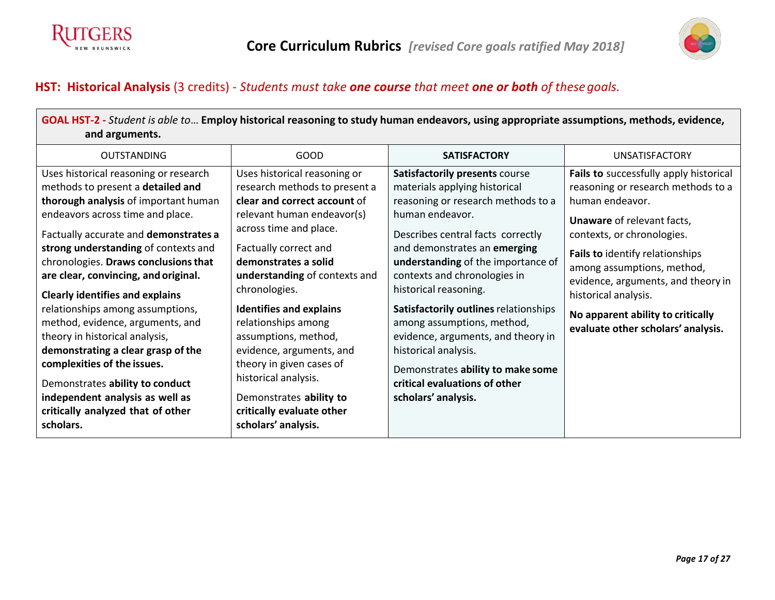



# **HST: Historical Analysis** (3 credits) - *Students must take one course that meet one or both of thesegoals.*

| GOAL HST-2 - Student is able to Employ historical reasoning to study human endeavors, using appropriate assumptions, methods, evidence,                                                                                                                                                                                                                                                                                                                                                                                                                                                                                                                                  |                                                                                                                                                                                                                                                                                                                                                                                                                                                                                                          |                                                                                                                                                                                                                                                                                                                                                                                                                                                                                                                                |                                                                                                                                                                                                                                                                                                                                                                              |  |
|--------------------------------------------------------------------------------------------------------------------------------------------------------------------------------------------------------------------------------------------------------------------------------------------------------------------------------------------------------------------------------------------------------------------------------------------------------------------------------------------------------------------------------------------------------------------------------------------------------------------------------------------------------------------------|----------------------------------------------------------------------------------------------------------------------------------------------------------------------------------------------------------------------------------------------------------------------------------------------------------------------------------------------------------------------------------------------------------------------------------------------------------------------------------------------------------|--------------------------------------------------------------------------------------------------------------------------------------------------------------------------------------------------------------------------------------------------------------------------------------------------------------------------------------------------------------------------------------------------------------------------------------------------------------------------------------------------------------------------------|------------------------------------------------------------------------------------------------------------------------------------------------------------------------------------------------------------------------------------------------------------------------------------------------------------------------------------------------------------------------------|--|
| and arguments.                                                                                                                                                                                                                                                                                                                                                                                                                                                                                                                                                                                                                                                           |                                                                                                                                                                                                                                                                                                                                                                                                                                                                                                          |                                                                                                                                                                                                                                                                                                                                                                                                                                                                                                                                |                                                                                                                                                                                                                                                                                                                                                                              |  |
| <b>OUTSTANDING</b>                                                                                                                                                                                                                                                                                                                                                                                                                                                                                                                                                                                                                                                       | <b>GOOD</b>                                                                                                                                                                                                                                                                                                                                                                                                                                                                                              | <b>SATISFACTORY</b>                                                                                                                                                                                                                                                                                                                                                                                                                                                                                                            | <b>UNSATISFACTORY</b>                                                                                                                                                                                                                                                                                                                                                        |  |
| Uses historical reasoning or research<br>methods to present a detailed and<br>thorough analysis of important human<br>endeavors across time and place.<br>Factually accurate and demonstrates a<br>strong understanding of contexts and<br>chronologies. Draws conclusions that<br>are clear, convincing, and original.<br><b>Clearly identifies and explains</b><br>relationships among assumptions,<br>method, evidence, arguments, and<br>theory in historical analysis,<br>demonstrating a clear grasp of the<br>complexities of the issues.<br>Demonstrates ability to conduct<br>independent analysis as well as<br>critically analyzed that of other<br>scholars. | Uses historical reasoning or<br>research methods to present a<br>clear and correct account of<br>relevant human endeavor(s)<br>across time and place.<br>Factually correct and<br>demonstrates a solid<br>understanding of contexts and<br>chronologies.<br><b>Identifies and explains</b><br>relationships among<br>assumptions, method,<br>evidence, arguments, and<br>theory in given cases of<br>historical analysis.<br>Demonstrates ability to<br>critically evaluate other<br>scholars' analysis. | Satisfactorily presents course<br>materials applying historical<br>reasoning or research methods to a<br>human endeavor.<br>Describes central facts correctly<br>and demonstrates an emerging<br>understanding of the importance of<br>contexts and chronologies in<br>historical reasoning.<br>Satisfactorily outlines relationships<br>among assumptions, method,<br>evidence, arguments, and theory in<br>historical analysis.<br>Demonstrates ability to make some<br>critical evaluations of other<br>scholars' analysis. | Fails to successfully apply historical<br>reasoning or research methods to a<br>human endeavor.<br><b>Unaware of relevant facts,</b><br>contexts, or chronologies.<br>Fails to identify relationships<br>among assumptions, method,<br>evidence, arguments, and theory in<br>historical analysis.<br>No apparent ability to critically<br>evaluate other scholars' analysis. |  |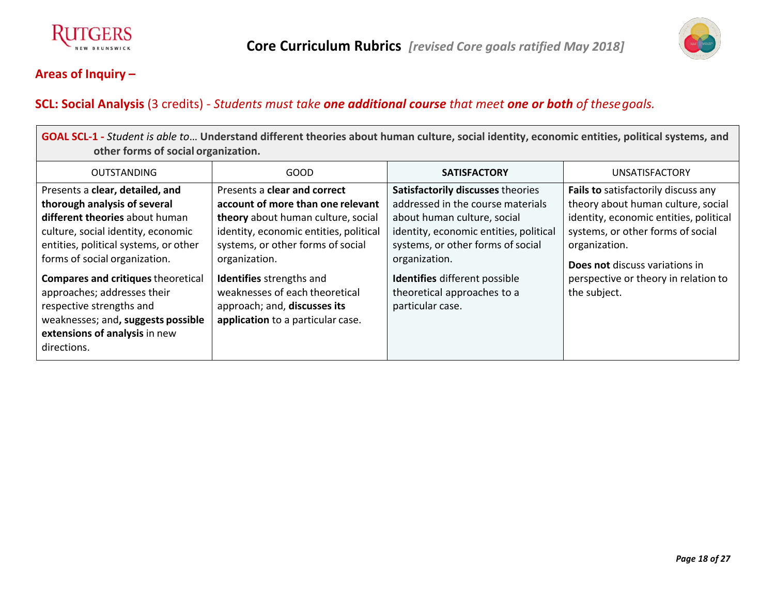



# **SCL: Social Analysis** (3 credits) - *Students must take one additional course that meet one or both of thesegoals.*

| GOAL SCL-1 - Student is able to Understand different theories about human culture, social identity, economic entities, political systems, and |                                               |                         |          |  |
|-----------------------------------------------------------------------------------------------------------------------------------------------|-----------------------------------------------|-------------------------|----------|--|
| other forms of social organization.                                                                                                           |                                               |                         |          |  |
| $\bigcap_{i=1}^{n}$                                                                                                                           | $\mathbf{a} \mathbf{a} \mathbf{a} \mathbf{b}$ | $A = A + A + A + A + A$ | $\cdots$ |  |

| <b>OUTSTANDING</b>                        | <b>GOOD</b>                            | <b>SATISFACTORY</b>                    | <b>UNSATISFACTORY</b>                  |
|-------------------------------------------|----------------------------------------|----------------------------------------|----------------------------------------|
| Presents a clear, detailed, and           | Presents a clear and correct           | Satisfactorily discusses theories      | Fails to satisfactorily discuss any    |
| thorough analysis of several              | account of more than one relevant      | addressed in the course materials      | theory about human culture, social     |
| different theories about human            | theory about human culture, social     | about human culture, social            | identity, economic entities, political |
| culture, social identity, economic        | identity, economic entities, political | identity, economic entities, political | systems, or other forms of social      |
| entities, political systems, or other     | systems, or other forms of social      | systems, or other forms of social      | organization.                          |
| forms of social organization.             | organization.                          | organization.                          | <b>Does not discuss variations in</b>  |
| <b>Compares and critiques theoretical</b> | Identifies strengths and               | <b>Identifies</b> different possible   | perspective or theory in relation to   |
| approaches; addresses their               | weaknesses of each theoretical         | theoretical approaches to a            | the subject.                           |
| respective strengths and                  | approach; and, discusses its           | particular case.                       |                                        |
| weaknesses; and, suggests possible        | application to a particular case.      |                                        |                                        |
| extensions of analysis in new             |                                        |                                        |                                        |
| directions.                               |                                        |                                        |                                        |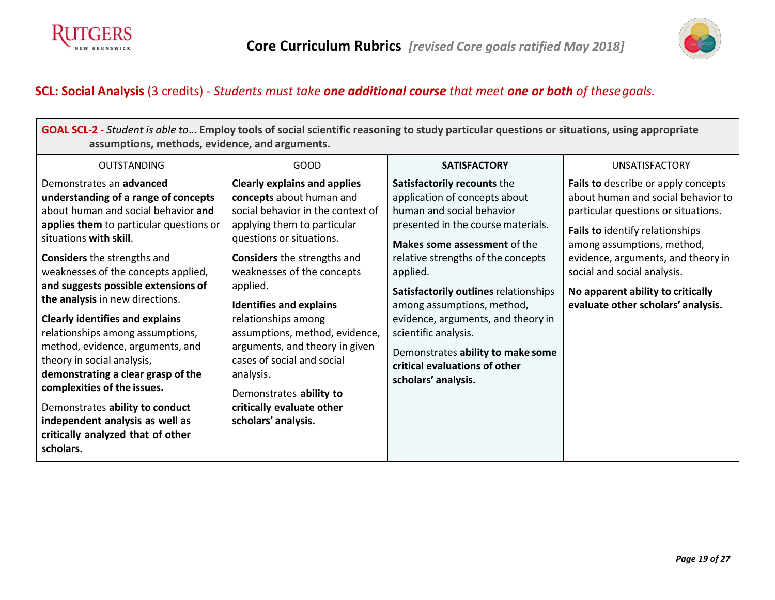



# **SCL: Social Analysis** (3 credits) - *Students must take one additional course that meet one or both of thesegoals.*

| GOAL SCL-2 - Student is able to Employ tools of social scientific reasoning to study particular questions or situations, using appropriate<br>assumptions, methods, evidence, and arguments.                                                                                                                                                                                                                                                                                                                                                                                                                                                                                     |                                                                                                                                                                                                                                                                                                                                                                                                                                                                                                        |                                                                                                                                                                                                                                                                                                                                                                                                                                                     |                                                                                                                                                                                                                                                                                                                                   |  |  |
|----------------------------------------------------------------------------------------------------------------------------------------------------------------------------------------------------------------------------------------------------------------------------------------------------------------------------------------------------------------------------------------------------------------------------------------------------------------------------------------------------------------------------------------------------------------------------------------------------------------------------------------------------------------------------------|--------------------------------------------------------------------------------------------------------------------------------------------------------------------------------------------------------------------------------------------------------------------------------------------------------------------------------------------------------------------------------------------------------------------------------------------------------------------------------------------------------|-----------------------------------------------------------------------------------------------------------------------------------------------------------------------------------------------------------------------------------------------------------------------------------------------------------------------------------------------------------------------------------------------------------------------------------------------------|-----------------------------------------------------------------------------------------------------------------------------------------------------------------------------------------------------------------------------------------------------------------------------------------------------------------------------------|--|--|
| <b>OUTSTANDING</b>                                                                                                                                                                                                                                                                                                                                                                                                                                                                                                                                                                                                                                                               | GOOD                                                                                                                                                                                                                                                                                                                                                                                                                                                                                                   | <b>SATISFACTORY</b>                                                                                                                                                                                                                                                                                                                                                                                                                                 | <b>UNSATISFACTORY</b>                                                                                                                                                                                                                                                                                                             |  |  |
| Demonstrates an advanced<br>understanding of a range of concepts<br>about human and social behavior and<br>applies them to particular questions or<br>situations with skill.<br><b>Considers</b> the strengths and<br>weaknesses of the concepts applied,<br>and suggests possible extensions of<br>the analysis in new directions.<br><b>Clearly identifies and explains</b><br>relationships among assumptions,<br>method, evidence, arguments, and<br>theory in social analysis,<br>demonstrating a clear grasp of the<br>complexities of the issues.<br>Demonstrates ability to conduct<br>independent analysis as well as<br>critically analyzed that of other<br>scholars. | <b>Clearly explains and applies</b><br>concepts about human and<br>social behavior in the context of<br>applying them to particular<br>questions or situations.<br><b>Considers</b> the strengths and<br>weaknesses of the concepts<br>applied.<br><b>Identifies and explains</b><br>relationships among<br>assumptions, method, evidence,<br>arguments, and theory in given<br>cases of social and social<br>analysis.<br>Demonstrates ability to<br>critically evaluate other<br>scholars' analysis. | Satisfactorily recounts the<br>application of concepts about<br>human and social behavior<br>presented in the course materials.<br>Makes some assessment of the<br>relative strengths of the concepts<br>applied.<br>Satisfactorily outlines relationships<br>among assumptions, method,<br>evidence, arguments, and theory in<br>scientific analysis.<br>Demonstrates ability to make some<br>critical evaluations of other<br>scholars' analysis. | Fails to describe or apply concepts<br>about human and social behavior to<br>particular questions or situations.<br>Fails to identify relationships<br>among assumptions, method,<br>evidence, arguments, and theory in<br>social and social analysis.<br>No apparent ability to critically<br>evaluate other scholars' analysis. |  |  |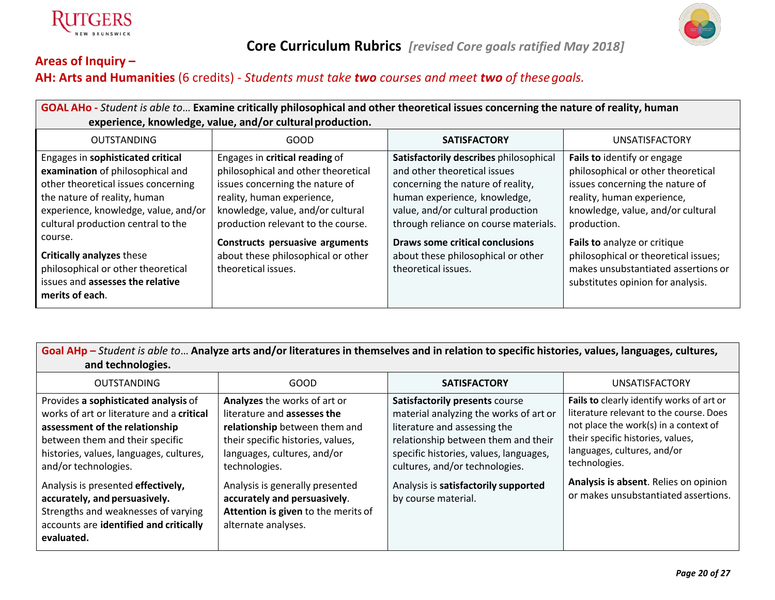

# **Core Curriculum Rubrics** *[revised Core goals ratified May 2018]*

# **Areas of Inquiry – AH: Arts and Humanities** (6 credits) - *Students must take two courses and meet two of thesegoals.*

| GOAL AHO - Student is able to Examine critically philosophical and other theoretical issues concerning the nature of reality, human<br>experience, knowledge, value, and/or cultural production.                           |                                                                                                                                                                                                                   |                                                                                                                                                                                                                           |                                                                                                                                                                                        |  |
|----------------------------------------------------------------------------------------------------------------------------------------------------------------------------------------------------------------------------|-------------------------------------------------------------------------------------------------------------------------------------------------------------------------------------------------------------------|---------------------------------------------------------------------------------------------------------------------------------------------------------------------------------------------------------------------------|----------------------------------------------------------------------------------------------------------------------------------------------------------------------------------------|--|
| <b>OUTSTANDING</b>                                                                                                                                                                                                         | GOOD                                                                                                                                                                                                              | <b>SATISFACTORY</b>                                                                                                                                                                                                       | <b>UNSATISFACTORY</b>                                                                                                                                                                  |  |
| Engages in sophisticated critical<br>examination of philosophical and<br>other theoretical issues concerning<br>the nature of reality, human<br>experience, knowledge, value, and/or<br>cultural production central to the | Engages in critical reading of<br>philosophical and other theoretical<br>issues concerning the nature of<br>reality, human experience,<br>knowledge, value, and/or cultural<br>production relevant to the course. | Satisfactorily describes philosophical<br>and other theoretical issues<br>concerning the nature of reality,<br>human experience, knowledge,<br>value, and/or cultural production<br>through reliance on course materials. | Fails to identify or engage<br>philosophical or other theoretical<br>issues concerning the nature of<br>reality, human experience,<br>knowledge, value, and/or cultural<br>production. |  |
| course.<br><b>Critically analyzes these</b><br>philosophical or other theoretical<br>issues and assesses the relative<br>merits of each.                                                                                   | <b>Constructs persuasive arguments</b><br>about these philosophical or other<br>theoretical issues.                                                                                                               | Draws some critical conclusions<br>about these philosophical or other<br>theoretical issues.                                                                                                                              | Fails to analyze or critique<br>philosophical or theoretical issues;<br>makes unsubstantiated assertions or<br>substitutes opinion for analysis.                                       |  |

Goal AHp - Student is able to... Analyze arts and/or literatures in themselves and in relation to specific histories, values, languages, cultures, **and technologies.**

| <b>OUTSTANDING</b>                                                                                                                                                                                                        | GOOD                                                                                                                                                                              | <b>SATISFACTORY</b>                                                                                                                                                                                                         | <b>UNSATISFACTORY</b>                                                                                                                                                                                              |
|---------------------------------------------------------------------------------------------------------------------------------------------------------------------------------------------------------------------------|-----------------------------------------------------------------------------------------------------------------------------------------------------------------------------------|-----------------------------------------------------------------------------------------------------------------------------------------------------------------------------------------------------------------------------|--------------------------------------------------------------------------------------------------------------------------------------------------------------------------------------------------------------------|
| Provides a sophisticated analysis of<br>works of art or literature and a critical<br>assessment of the relationship<br>between them and their specific<br>histories, values, languages, cultures,<br>and/or technologies. | Analyzes the works of art or<br>literature and assesses the<br>relationship between them and<br>their specific histories, values,<br>languages, cultures, and/or<br>technologies. | Satisfactorily presents course<br>material analyzing the works of art or<br>literature and assessing the<br>relationship between them and their<br>specific histories, values, languages,<br>cultures, and/or technologies. | Fails to clearly identify works of art or<br>literature relevant to the course. Does<br>not place the work(s) in a context of<br>their specific histories, values,<br>languages, cultures, and/or<br>technologies. |
| Analysis is presented effectively,<br>accurately, and persuasively.<br>Strengths and weaknesses of varying<br>accounts are identified and critically<br>evaluated.                                                        | Analysis is generally presented<br>accurately and persuasively.<br>Attention is given to the merits of<br>alternate analyses.                                                     | Analysis is satisfactorily supported<br>by course material.                                                                                                                                                                 | Analysis is absent. Relies on opinion<br>or makes unsubstantiated assertions.                                                                                                                                      |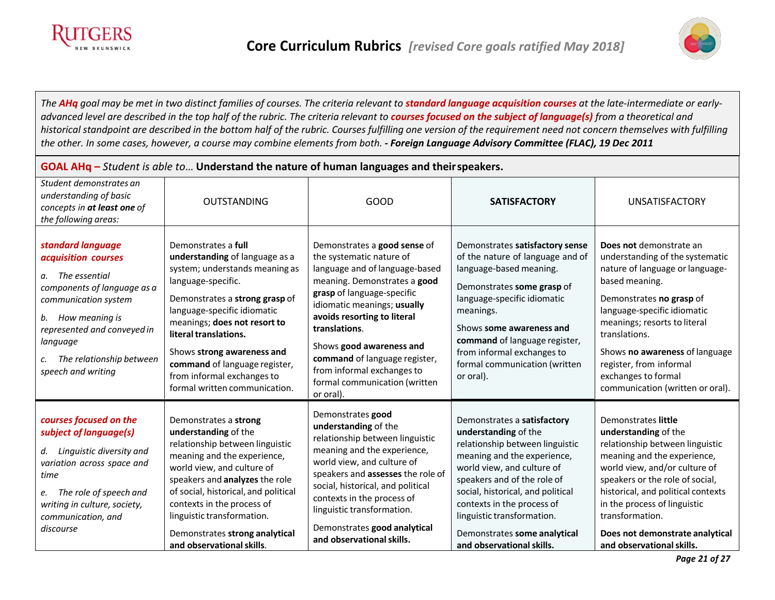



The AHq goal may be met in two distinct families of courses. The criteria relevant to standard language acquisition courses at the late-intermediate or earlyadvanced level are described in the top half of the rubric. The criteria relevant to courses focused on the subject of language(s) from a theoretical and historical standpoint are described in the bottom half of the rubric. Courses fulfilling one version of the requirement need not concern themselves with fulfilling *the other. In some cases, however, a course may combine elements from both. - Foreign Language Advisory Committee (FLAC), 19 Dec 2011*

| GOAL AH $q$ – Student is able to Understand the nature of human languages and their speakers.                                                                                                                                                            |                                                                                                                                                                                                                                                                                                                                                                       |                                                                                                                                                                                                                                                                                                                                                                                  |                                                                                                                                                                                                                                                                                                                                                  |                                                                                                                                                                                                                                                                                                                                                     |
|----------------------------------------------------------------------------------------------------------------------------------------------------------------------------------------------------------------------------------------------------------|-----------------------------------------------------------------------------------------------------------------------------------------------------------------------------------------------------------------------------------------------------------------------------------------------------------------------------------------------------------------------|----------------------------------------------------------------------------------------------------------------------------------------------------------------------------------------------------------------------------------------------------------------------------------------------------------------------------------------------------------------------------------|--------------------------------------------------------------------------------------------------------------------------------------------------------------------------------------------------------------------------------------------------------------------------------------------------------------------------------------------------|-----------------------------------------------------------------------------------------------------------------------------------------------------------------------------------------------------------------------------------------------------------------------------------------------------------------------------------------------------|
| Student demonstrates an<br>understanding of basic<br>concepts in at least one of<br>the following areas:                                                                                                                                                 | <b>OUTSTANDING</b>                                                                                                                                                                                                                                                                                                                                                    | <b>GOOD</b>                                                                                                                                                                                                                                                                                                                                                                      | <b>SATISFACTORY</b>                                                                                                                                                                                                                                                                                                                              | <b>UNSATISFACTORY</b>                                                                                                                                                                                                                                                                                                                               |
| standard language<br>acquisition courses<br>a. The essential<br>components of language as a<br>communication system<br>b. How meaning is<br>represented and conveyed in<br>language<br>The relationship between<br>$\mathcal{C}$ .<br>speech and writing | Demonstrates a full<br>understanding of language as a<br>system; understands meaning as<br>language-specific.<br>Demonstrates a strong grasp of<br>language-specific idiomatic<br>meanings; does not resort to<br>literal translations.<br>Shows strong awareness and<br>command of language register,<br>from informal exchanges to<br>formal written communication. | Demonstrates a good sense of<br>the systematic nature of<br>language and of language-based<br>meaning. Demonstrates a good<br>grasp of language-specific<br>idiomatic meanings; usually<br>avoids resorting to literal<br>translations.<br>Shows good awareness and<br>command of language register,<br>from informal exchanges to<br>formal communication (written<br>or oral). | Demonstrates satisfactory sense<br>of the nature of language and of<br>language-based meaning.<br>Demonstrates some grasp of<br>language-specific idiomatic<br>meanings.<br>Shows some awareness and<br>command of language register,<br>from informal exchanges to<br>formal communication (written<br>or oral).                                | Does not demonstrate an<br>understanding of the systematic<br>nature of language or language-<br>based meaning.<br>Demonstrates no grasp of<br>language-specific idiomatic<br>meanings; resorts to literal<br>translations.<br>Shows no awareness of language<br>register, from informal<br>exchanges to formal<br>communication (written or oral). |
| courses focused on the<br>subject of language(s)<br>d. Linguistic diversity and<br>variation across space and<br>time<br>e. The role of speech and<br>writing in culture, society,<br>communication, and<br>discourse                                    | Demonstrates a strong<br>understanding of the<br>relationship between linguistic<br>meaning and the experience,<br>world view, and culture of<br>speakers and analyzes the role<br>of social, historical, and political<br>contexts in the process of<br>linguistic transformation.<br>Demonstrates strong analytical<br>and observational skills.                    | Demonstrates good<br>understanding of the<br>relationship between linguistic<br>meaning and the experience,<br>world view, and culture of<br>speakers and assesses the role of<br>social, historical, and political<br>contexts in the process of<br>linguistic transformation.<br>Demonstrates good analytical<br>and observational skills.                                     | Demonstrates a satisfactory<br>understanding of the<br>relationship between linguistic<br>meaning and the experience,<br>world view, and culture of<br>speakers and of the role of<br>social, historical, and political<br>contexts in the process of<br>linguistic transformation.<br>Demonstrates some analytical<br>and observational skills. | Demonstrates little<br>understanding of the<br>relationship between linguistic<br>meaning and the experience,<br>world view, and/or culture of<br>speakers or the role of social,<br>historical, and political contexts<br>in the process of linguistic<br>transformation.<br>Does not demonstrate analytical<br>and observational skills.          |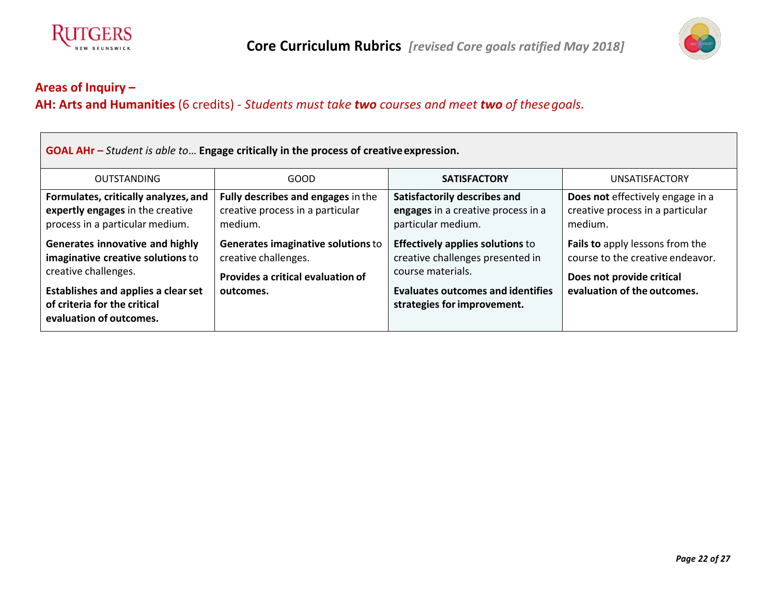



 $\blacksquare$ 

# **AH: Arts and Humanities** (6 credits) - *Students must take two courses and meet two of thesegoals.*

| GOAL AHr - Student is able to Engage critically in the process of creative expression.                      |                                                                                                 |                                                                                                  |                                                                                                  |  |
|-------------------------------------------------------------------------------------------------------------|-------------------------------------------------------------------------------------------------|--------------------------------------------------------------------------------------------------|--------------------------------------------------------------------------------------------------|--|
| <b>OUTSTANDING</b>                                                                                          | GOOD                                                                                            | <b>SATISFACTORY</b>                                                                              | <b>UNSATISFACTORY</b>                                                                            |  |
| Formulates, critically analyzes, and<br>expertly engages in the creative<br>process in a particular medium. | Fully describes and engages in the<br>creative process in a particular<br>medium.               | Satisfactorily describes and<br>engages in a creative process in a<br>particular medium.         | Does not effectively engage in a<br>creative process in a particular<br>medium.                  |  |
| Generates innovative and highly<br>imaginative creative solutions to<br>creative challenges.                | Generates imaginative solutions to<br>creative challenges.<br>Provides a critical evaluation of | <b>Effectively applies solutions to</b><br>creative challenges presented in<br>course materials. | Fails to apply lessons from the<br>course to the creative endeavor.<br>Does not provide critical |  |
| <b>Establishes and applies a clear set</b><br>of criteria for the critical<br>evaluation of outcomes.       | outcomes.                                                                                       | <b>Evaluates outcomes and identifies</b><br>strategies for improvement.                          | evaluation of the outcomes.                                                                      |  |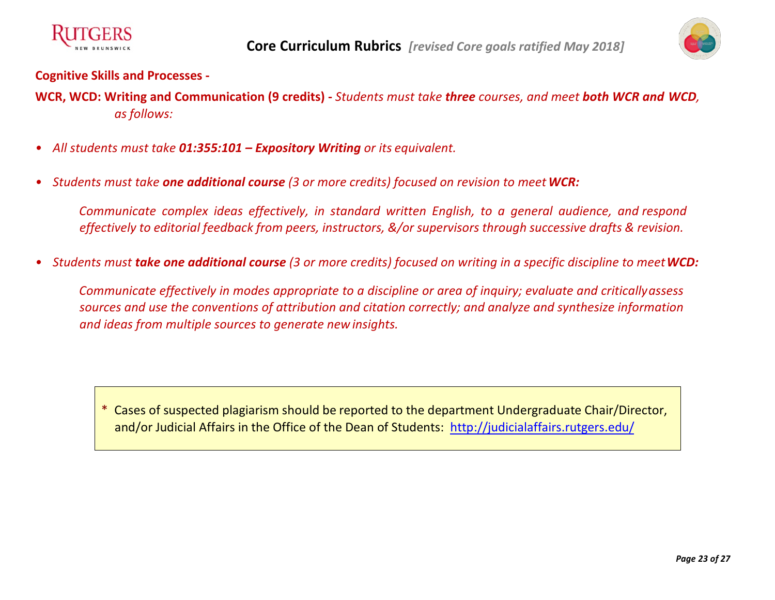



#### **Cognitive Skills and Processes -**

- **WCR, WCD: Writing and Communication (9 credits) -** *Students must take three courses, and meet both WCR and WCD, as follows:*
- *• All students must take 01:355:101 – Expository Writing or its equivalent.*
- *• Students must take one additional course (3 or more credits) focused on revision to meetWCR:*

*Communicate complex ideas effectively, in standard written English, to a general audience, and respond effectively to editorial feedback from peers, instructors, &/or supervisors through successive drafts & revision.*

*• Students must take one additional course (3 or more credits) focused on writing in a specific discipline to meetWCD:*

*Communicate effectively in modes appropriate to a discipline or area of inquiry; evaluate and criticallyassess sources and use the conventions of attribution and citation correctly; and analyze and synthesize information and ideas from multiple sources to generate newinsights.*

\* Cases of suspected plagiarism should be reported to the department Undergraduate Chair/Director, and/or Judicial Affairs in the Office of the Dean of Students: http://judicialaffairs.rutgers.edu/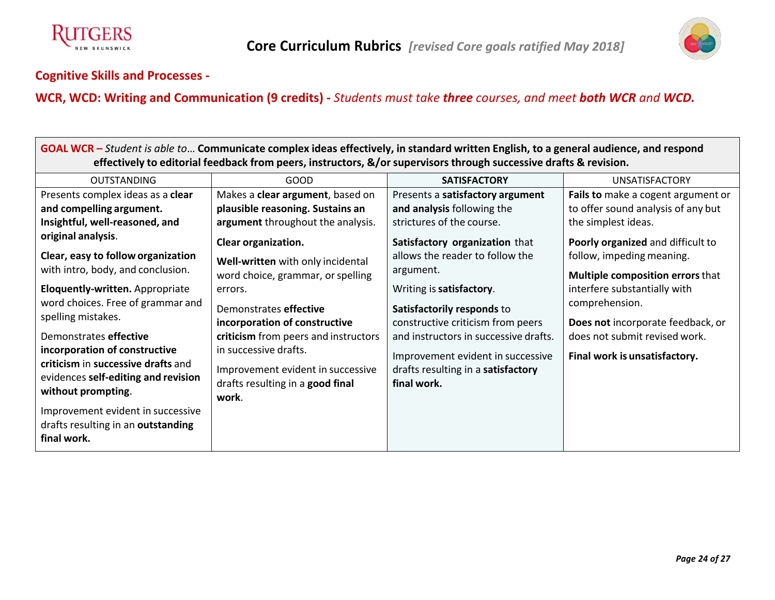



#### **Cognitive Skills and Processes -**

# **WCR, WCD: Writing and Communication (9 credits) -** *Students must take three courses, and meet both WCR and WCD.*

| GOAL WCR – Student is able to Communicate complex ideas effectively, in standard written English, to a general audience, and respond                                                                                                                     |                                                                                                                                                                                                                       |                                                                                                                                                                                                                                |                                                                                                                                                       |  |  |
|----------------------------------------------------------------------------------------------------------------------------------------------------------------------------------------------------------------------------------------------------------|-----------------------------------------------------------------------------------------------------------------------------------------------------------------------------------------------------------------------|--------------------------------------------------------------------------------------------------------------------------------------------------------------------------------------------------------------------------------|-------------------------------------------------------------------------------------------------------------------------------------------------------|--|--|
| effectively to editorial feedback from peers, instructors, &/or supervisors through successive drafts & revision.                                                                                                                                        |                                                                                                                                                                                                                       |                                                                                                                                                                                                                                |                                                                                                                                                       |  |  |
| <b>OUTSTANDING</b>                                                                                                                                                                                                                                       | <b>GOOD</b>                                                                                                                                                                                                           | <b>SATISFACTORY</b>                                                                                                                                                                                                            | <b>UNSATISFACTORY</b>                                                                                                                                 |  |  |
| Presents complex ideas as a clear                                                                                                                                                                                                                        | Makes a clear argument, based on                                                                                                                                                                                      | Presents a satisfactory argument                                                                                                                                                                                               | Fails to make a cogent argument or                                                                                                                    |  |  |
| and compelling argument.                                                                                                                                                                                                                                 | plausible reasoning. Sustains an                                                                                                                                                                                      | and analysis following the                                                                                                                                                                                                     | to offer sound analysis of any but                                                                                                                    |  |  |
| Insightful, well-reasoned, and                                                                                                                                                                                                                           | argument throughout the analysis.                                                                                                                                                                                     | strictures of the course.                                                                                                                                                                                                      | the simplest ideas.                                                                                                                                   |  |  |
| original analysis.                                                                                                                                                                                                                                       | Clear organization.                                                                                                                                                                                                   | Satisfactory organization that                                                                                                                                                                                                 | Poorly organized and difficult to                                                                                                                     |  |  |
| Clear, easy to follow organization<br>with intro, body, and conclusion.                                                                                                                                                                                  | Well-written with only incidental<br>word choice, grammar, or spelling                                                                                                                                                | allows the reader to follow the<br>argument.                                                                                                                                                                                   | follow, impeding meaning.<br>Multiple composition errors that                                                                                         |  |  |
| Eloquently-written. Appropriate<br>word choices. Free of grammar and<br>spelling mistakes.<br>Demonstrates effective<br>incorporation of constructive<br>criticism in successive drafts and<br>evidences self-editing and revision<br>without prompting. | errors.<br>Demonstrates effective<br>incorporation of constructive<br>criticism from peers and instructors<br>in successive drafts.<br>Improvement evident in successive<br>drafts resulting in a good final<br>work. | Writing is satisfactory.<br>Satisfactorily responds to<br>constructive criticism from peers<br>and instructors in successive drafts.<br>Improvement evident in successive<br>drafts resulting in a satisfactory<br>final work. | interfere substantially with<br>comprehension.<br>Does not incorporate feedback, or<br>does not submit revised work.<br>Final work is unsatisfactory. |  |  |
| Improvement evident in successive<br>drafts resulting in an outstanding<br>final work.                                                                                                                                                                   |                                                                                                                                                                                                                       |                                                                                                                                                                                                                                |                                                                                                                                                       |  |  |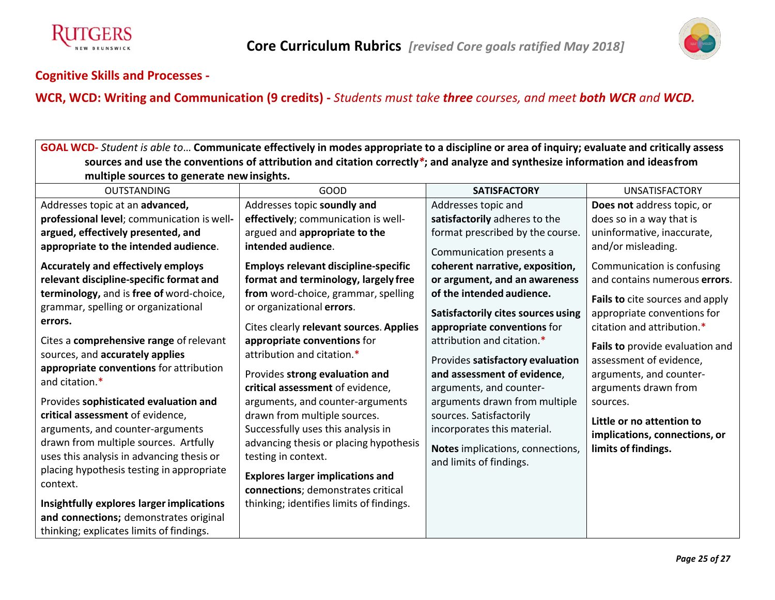



#### **Cognitive Skills and Processes -**

# **WCR, WCD: Writing and Communication (9 credits) -** *Students must take three courses, and meet both WCR and WCD.*

<u> 1989 - Johann Stoff, amerikansk politiker (d. 1989)</u>

| GOAL WCD- Student is able to Communicate effectively in modes appropriate to a discipline or area of inquiry; evaluate and critically assess                                                                                                                                                                                                                                                                                                                                                                                                                                                 |                                                                                                                                                                                                                                                                                                                                                                                                                                                                                                                                                        |                                                                                                                                                                                                                                                                                                                                                                                             |                                                                                                                                                                                                                                                                                                                |  |
|----------------------------------------------------------------------------------------------------------------------------------------------------------------------------------------------------------------------------------------------------------------------------------------------------------------------------------------------------------------------------------------------------------------------------------------------------------------------------------------------------------------------------------------------------------------------------------------------|--------------------------------------------------------------------------------------------------------------------------------------------------------------------------------------------------------------------------------------------------------------------------------------------------------------------------------------------------------------------------------------------------------------------------------------------------------------------------------------------------------------------------------------------------------|---------------------------------------------------------------------------------------------------------------------------------------------------------------------------------------------------------------------------------------------------------------------------------------------------------------------------------------------------------------------------------------------|----------------------------------------------------------------------------------------------------------------------------------------------------------------------------------------------------------------------------------------------------------------------------------------------------------------|--|
| sources and use the conventions of attribution and citation correctly*; and analyze and synthesize information and ideasfrom                                                                                                                                                                                                                                                                                                                                                                                                                                                                 |                                                                                                                                                                                                                                                                                                                                                                                                                                                                                                                                                        |                                                                                                                                                                                                                                                                                                                                                                                             |                                                                                                                                                                                                                                                                                                                |  |
| multiple sources to generate new insights.                                                                                                                                                                                                                                                                                                                                                                                                                                                                                                                                                   |                                                                                                                                                                                                                                                                                                                                                                                                                                                                                                                                                        |                                                                                                                                                                                                                                                                                                                                                                                             |                                                                                                                                                                                                                                                                                                                |  |
| <b>OUTSTANDING</b>                                                                                                                                                                                                                                                                                                                                                                                                                                                                                                                                                                           | <b>GOOD</b>                                                                                                                                                                                                                                                                                                                                                                                                                                                                                                                                            | <b>SATISFACTORY</b>                                                                                                                                                                                                                                                                                                                                                                         | <b>UNSATISFACTORY</b>                                                                                                                                                                                                                                                                                          |  |
| Addresses topic at an advanced,                                                                                                                                                                                                                                                                                                                                                                                                                                                                                                                                                              | Addresses topic soundly and                                                                                                                                                                                                                                                                                                                                                                                                                                                                                                                            | Addresses topic and                                                                                                                                                                                                                                                                                                                                                                         | Does not address topic, or                                                                                                                                                                                                                                                                                     |  |
| professional level; communication is well-                                                                                                                                                                                                                                                                                                                                                                                                                                                                                                                                                   | effectively; communication is well-                                                                                                                                                                                                                                                                                                                                                                                                                                                                                                                    | satisfactorily adheres to the                                                                                                                                                                                                                                                                                                                                                               | does so in a way that is                                                                                                                                                                                                                                                                                       |  |
| argued, effectively presented, and                                                                                                                                                                                                                                                                                                                                                                                                                                                                                                                                                           | argued and appropriate to the                                                                                                                                                                                                                                                                                                                                                                                                                                                                                                                          | format prescribed by the course.                                                                                                                                                                                                                                                                                                                                                            | uninformative, inaccurate,                                                                                                                                                                                                                                                                                     |  |
| appropriate to the intended audience.                                                                                                                                                                                                                                                                                                                                                                                                                                                                                                                                                        | intended audience.                                                                                                                                                                                                                                                                                                                                                                                                                                                                                                                                     | Communication presents a                                                                                                                                                                                                                                                                                                                                                                    | and/or misleading.                                                                                                                                                                                                                                                                                             |  |
| <b>Accurately and effectively employs</b>                                                                                                                                                                                                                                                                                                                                                                                                                                                                                                                                                    | <b>Employs relevant discipline-specific</b>                                                                                                                                                                                                                                                                                                                                                                                                                                                                                                            | coherent narrative, exposition,                                                                                                                                                                                                                                                                                                                                                             | Communication is confusing                                                                                                                                                                                                                                                                                     |  |
| relevant discipline-specific format and                                                                                                                                                                                                                                                                                                                                                                                                                                                                                                                                                      | format and terminology, largely free                                                                                                                                                                                                                                                                                                                                                                                                                                                                                                                   | or argument, and an awareness                                                                                                                                                                                                                                                                                                                                                               | and contains numerous errors.                                                                                                                                                                                                                                                                                  |  |
| terminology, and is free of word-choice,<br>grammar, spelling or organizational<br>errors.<br>Cites a comprehensive range of relevant<br>sources, and accurately applies<br>appropriate conventions for attribution<br>and citation.*<br>Provides sophisticated evaluation and<br>critical assessment of evidence,<br>arguments, and counter-arguments<br>drawn from multiple sources. Artfully<br>uses this analysis in advancing thesis or<br>placing hypothesis testing in appropriate<br>context.<br>Insightfully explores larger implications<br>and connections; demonstrates original | from word-choice, grammar, spelling<br>or organizational errors.<br>Cites clearly relevant sources. Applies<br>appropriate conventions for<br>attribution and citation.*<br>Provides strong evaluation and<br>critical assessment of evidence,<br>arguments, and counter-arguments<br>drawn from multiple sources.<br>Successfully uses this analysis in<br>advancing thesis or placing hypothesis<br>testing in context.<br><b>Explores larger implications and</b><br>connections; demonstrates critical<br>thinking; identifies limits of findings. | of the intended audience.<br><b>Satisfactorily cites sources using</b><br>appropriate conventions for<br>attribution and citation.*<br>Provides satisfactory evaluation<br>and assessment of evidence,<br>arguments, and counter-<br>arguments drawn from multiple<br>sources. Satisfactorily<br>incorporates this material.<br>Notes implications, connections,<br>and limits of findings. | Fails to cite sources and apply<br>appropriate conventions for<br>citation and attribution.*<br>Fails to provide evaluation and<br>assessment of evidence,<br>arguments, and counter-<br>arguments drawn from<br>sources.<br>Little or no attention to<br>implications, connections, or<br>limits of findings. |  |
| thinking; explicates limits of findings.                                                                                                                                                                                                                                                                                                                                                                                                                                                                                                                                                     |                                                                                                                                                                                                                                                                                                                                                                                                                                                                                                                                                        |                                                                                                                                                                                                                                                                                                                                                                                             |                                                                                                                                                                                                                                                                                                                |  |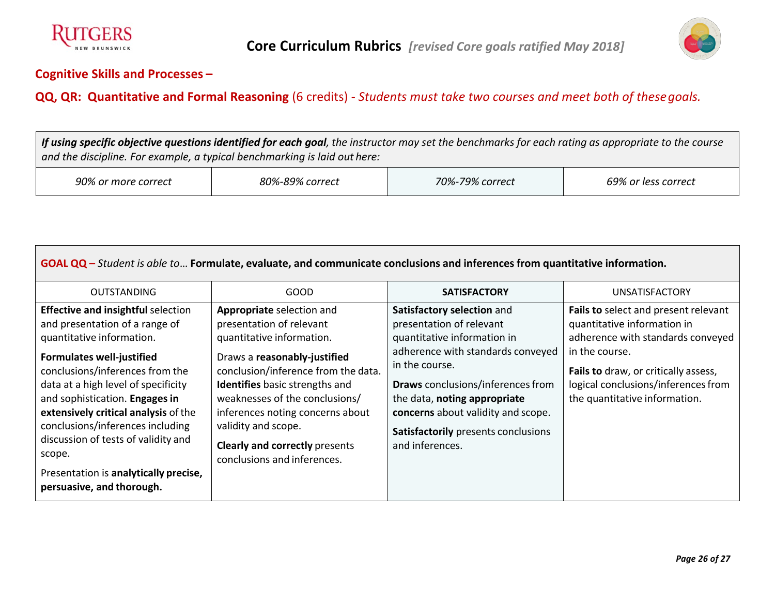



#### **Cognitive Skills and Processes –**

#### **QQ, QR: Quantitative and Formal Reasoning** (6 credits) - *Students must take two courses and meet both of thesegoals.*

If using specific objective questions identified for each goal, the instructor may set the benchmarks for each rating as appropriate to the course *and the discipline. For example, a typical benchmarking is laid out here:*

| 90% or<br><sup>.</sup> more correct | 80%-89% correct | $70\%$ -,<br>$79\%$<br>correct | 69% or less correct |
|-------------------------------------|-----------------|--------------------------------|---------------------|
|-------------------------------------|-----------------|--------------------------------|---------------------|

| GOAL $QQ$ – Student is able to Formulate, evaluate, and communicate conclusions and inferences from quantitative information.                                                                                                                                                                                                                                                                                                                               |                                                                                                                                                                                                                                                                                                                                                                         |                                                                                                                                                                                                                                                                                                                          |                                                                                                                                                                                                                                            |  |
|-------------------------------------------------------------------------------------------------------------------------------------------------------------------------------------------------------------------------------------------------------------------------------------------------------------------------------------------------------------------------------------------------------------------------------------------------------------|-------------------------------------------------------------------------------------------------------------------------------------------------------------------------------------------------------------------------------------------------------------------------------------------------------------------------------------------------------------------------|--------------------------------------------------------------------------------------------------------------------------------------------------------------------------------------------------------------------------------------------------------------------------------------------------------------------------|--------------------------------------------------------------------------------------------------------------------------------------------------------------------------------------------------------------------------------------------|--|
| <b>OUTSTANDING</b>                                                                                                                                                                                                                                                                                                                                                                                                                                          | GOOD                                                                                                                                                                                                                                                                                                                                                                    | <b>SATISFACTORY</b>                                                                                                                                                                                                                                                                                                      | <b>UNSATISFACTORY</b>                                                                                                                                                                                                                      |  |
| <b>Effective and insightful selection</b><br>and presentation of a range of<br>quantitative information.<br><b>Formulates well-justified</b><br>conclusions/inferences from the<br>data at a high level of specificity<br>and sophistication. Engages in<br>extensively critical analysis of the<br>conclusions/inferences including<br>discussion of tests of validity and<br>scope.<br>Presentation is analytically precise,<br>persuasive, and thorough. | Appropriate selection and<br>presentation of relevant<br>quantitative information.<br>Draws a reasonably-justified<br>conclusion/inference from the data.<br><b>Identifies</b> basic strengths and<br>weaknesses of the conclusions/<br>inferences noting concerns about<br>validity and scope.<br><b>Clearly and correctly presents</b><br>conclusions and inferences. | Satisfactory selection and<br>presentation of relevant<br>quantitative information in<br>adherence with standards conveyed<br>in the course.<br><b>Draws</b> conclusions/inferences from<br>the data, noting appropriate<br>concerns about validity and scope.<br>Satisfactorily presents conclusions<br>and inferences. | Fails to select and present relevant<br>quantitative information in<br>adherence with standards conveyed<br>in the course.<br>Fails to draw, or critically assess,<br>logical conclusions/inferences from<br>the quantitative information. |  |